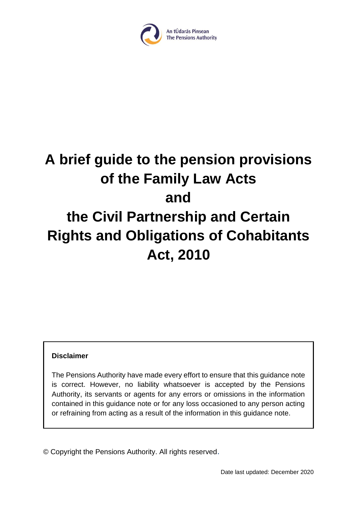

# **A brief guide to the pension provisions of the Family Law Acts and the Civil Partnership and Certain Rights and Obligations of Cohabitants Act, 2010**

#### **Disclaimer**

The Pensions Authority have made every effort to ensure that this guidance note is correct. However, no liability whatsoever is accepted by the Pensions Authority, its servants or agents for any errors or omissions in the information contained in this guidance note or for any loss occasioned to any person acting or refraining from acting as a result of the information in this guidance note.

© Copyright the Pensions Authority. All rights reserved.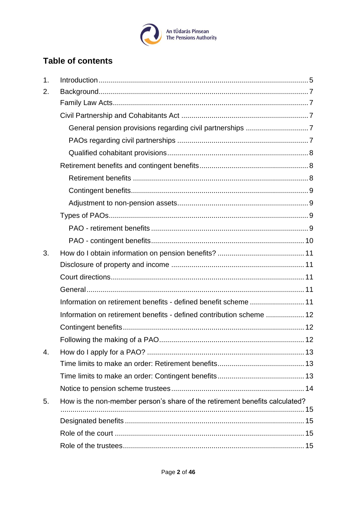

# **Table of contents**

| $\mathbf 1$ . |                                                                             |  |
|---------------|-----------------------------------------------------------------------------|--|
| 2.            |                                                                             |  |
|               |                                                                             |  |
|               |                                                                             |  |
|               |                                                                             |  |
|               |                                                                             |  |
|               |                                                                             |  |
|               |                                                                             |  |
|               |                                                                             |  |
|               |                                                                             |  |
|               |                                                                             |  |
|               |                                                                             |  |
|               |                                                                             |  |
|               |                                                                             |  |
| 3.            |                                                                             |  |
|               |                                                                             |  |
|               |                                                                             |  |
|               |                                                                             |  |
|               | Information on retirement benefits - defined benefit scheme  11             |  |
|               | Information on retirement benefits - defined contribution scheme  12        |  |
|               |                                                                             |  |
|               |                                                                             |  |
| 4.            |                                                                             |  |
|               |                                                                             |  |
|               |                                                                             |  |
|               |                                                                             |  |
| 5.            | How is the non-member person's share of the retirement benefits calculated? |  |
|               |                                                                             |  |
|               |                                                                             |  |
|               |                                                                             |  |
|               |                                                                             |  |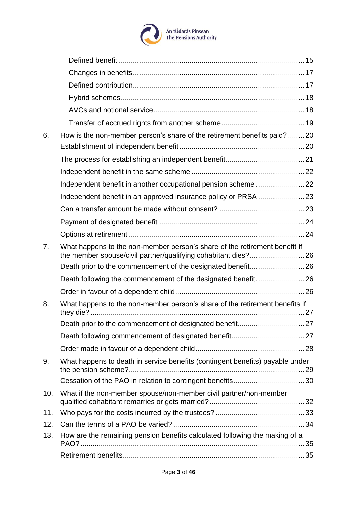

| 6.             | How is the non-member person's share of the retirement benefits paid?  20     |  |
|----------------|-------------------------------------------------------------------------------|--|
|                |                                                                               |  |
|                |                                                                               |  |
|                |                                                                               |  |
|                |                                                                               |  |
|                |                                                                               |  |
|                |                                                                               |  |
|                |                                                                               |  |
|                |                                                                               |  |
| 7 <sub>1</sub> | What happens to the non-member person's share of the retirement benefit if    |  |
|                |                                                                               |  |
|                |                                                                               |  |
|                |                                                                               |  |
| 8.             | What happens to the non-member person's share of the retirement benefits if   |  |
|                |                                                                               |  |
|                |                                                                               |  |
|                |                                                                               |  |
| 9.             | What happens to death in service benefits (contingent benefits) payable under |  |
|                |                                                                               |  |
| 10.            | What if the non-member spouse/non-member civil partner/non-member             |  |
| 11.            |                                                                               |  |
| 12.            |                                                                               |  |
| 13.            | How are the remaining pension benefits calculated following the making of a   |  |
|                |                                                                               |  |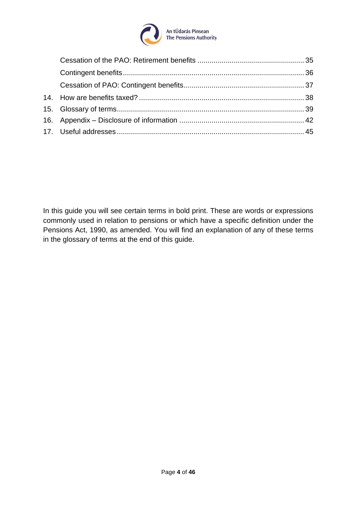

In this guide you will see certain terms in bold print. These are words or expressions commonly used in relation to pensions or which have a specific definition under the Pensions Act, 1990, as amended. You will find an explanation of any of these terms in the glossary of terms at the end of this guide.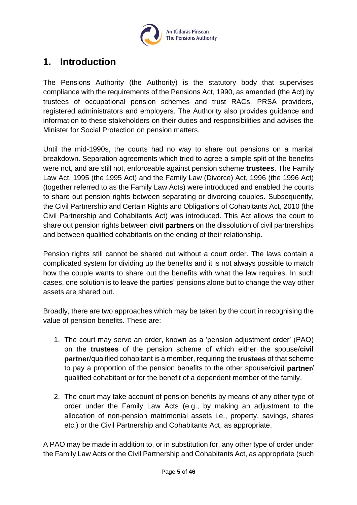

# <span id="page-4-0"></span>**1. Introduction**

The Pensions Authority (the Authority) is the statutory body that supervises compliance with the requirements of the Pensions Act, 1990, as amended (the Act) by trustees of occupational pension schemes and trust RACs, PRSA providers, registered administrators and employers. The Authority also provides guidance and information to these stakeholders on their duties and responsibilities and advises the Minister for Social Protection on pension matters.

Until the mid-1990s, the courts had no way to share out pensions on a marital breakdown. Separation agreements which tried to agree a simple split of the benefits were not, and are still not, enforceable against pension scheme **trustees**. The Family Law Act, 1995 (the 1995 Act) and the Family Law (Divorce) Act, 1996 (the 1996 Act) (together referred to as the Family Law Acts) were introduced and enabled the courts to share out pension rights between separating or divorcing couples. Subsequently, the Civil Partnership and Certain Rights and Obligations of Cohabitants Act, 2010 (the Civil Partnership and Cohabitants Act) was introduced. This Act allows the court to share out pension rights between **civil partners** on the dissolution of civil partnerships and between qualified cohabitants on the ending of their relationship.

Pension rights still cannot be shared out without a court order. The laws contain a complicated system for dividing up the benefits and it is not always possible to match how the couple wants to share out the benefits with what the law requires. In such cases, one solution is to leave the parties' pensions alone but to change the way other assets are shared out.

Broadly, there are two approaches which may be taken by the court in recognising the value of pension benefits. These are:

- 1. The court may serve an order, known as a 'pension adjustment order' (PAO) on the **trustees** of the pension scheme of which either the spouse/**civil partner**/qualified cohabitant is a member, requiring the **trustees** of that scheme to pay a proportion of the pension benefits to the other spouse/**civil partner**/ qualified cohabitant or for the benefit of a dependent member of the family.
- 2. The court may take account of pension benefits by means of any other type of order under the Family Law Acts (e.g., by making an adjustment to the allocation of non-pension matrimonial assets i.e., property, savings, shares etc.) or the Civil Partnership and Cohabitants Act, as appropriate.

A PAO may be made in addition to, or in substitution for, any other type of order under the Family Law Acts or the Civil Partnership and Cohabitants Act, as appropriate (such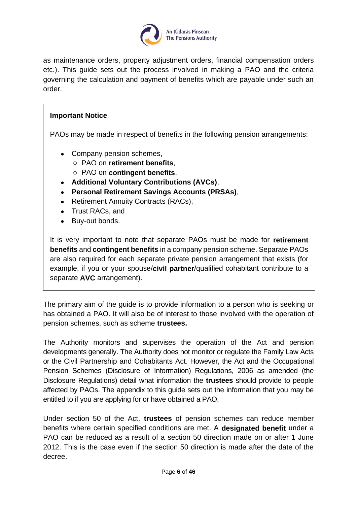

as maintenance orders, property adjustment orders, financial compensation orders etc.). This guide sets out the process involved in making a PAO and the criteria governing the calculation and payment of benefits which are payable under such an order.

#### **Important Notice**

PAOs may be made in respect of benefits in the following pension arrangements:

- Company pension schemes,
	- o PAO on **retirement benefits**,
	- o PAO on **contingent benefits**,
- **Additional Voluntary Contributions (AVCs)**,
- **Personal Retirement Savings Accounts (PRSAs)**,
- Retirement Annuity Contracts (RACs),
- Trust RACs, and
- Buy-out bonds.

It is very important to note that separate PAOs must be made for **retirement benefits** and **contingent benefits** in a company pension scheme. Separate PAOs are also required for each separate private pension arrangement that exists (for example, if you or your spouse/**civil partner**/qualified cohabitant contribute to a separate **AVC** arrangement).

The primary aim of the guide is to provide information to a person who is seeking or has obtained a PAO. It will also be of interest to those involved with the operation of pension schemes, such as scheme **trustees.** 

The Authority monitors and supervises the operation of the Act and pension developments generally. The Authority does not monitor or regulate the Family Law Acts or the Civil Partnership and Cohabitants Act. However, the Act and the Occupational Pension Schemes (Disclosure of Information) Regulations, 2006 as amended (the Disclosure Regulations) detail what information the **trustees** should provide to people affected by PAOs. The appendix to this guide sets out the information that you may be entitled to if you are applying for or have obtained a PAO.

Under section 50 of the Act, **trustees** of pension schemes can reduce member benefits where certain specified conditions are met. A **designated benefit** under a PAO can be reduced as a result of a section 50 direction made on or after 1 June 2012. This is the case even if the section 50 direction is made after the date of the decree.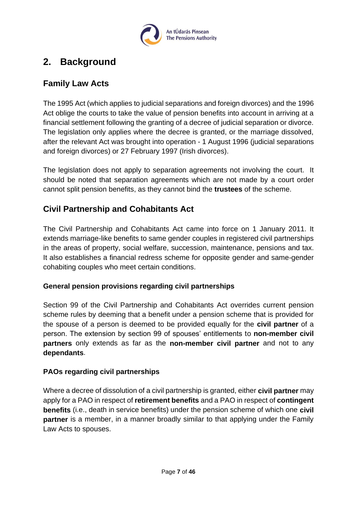

# <span id="page-6-0"></span>**2. Background**

# <span id="page-6-1"></span>**Family Law Acts**

The 1995 Act (which applies to judicial separations and foreign divorces) and the 1996 Act oblige the courts to take the value of pension benefits into account in arriving at a financial settlement following the granting of a decree of judicial separation or divorce. The legislation only applies where the decree is granted, or the marriage dissolved, after the relevant Act was brought into operation - 1 August 1996 (judicial separations and foreign divorces) or 27 February 1997 (Irish divorces).

The legislation does not apply to separation agreements not involving the court. It should be noted that separation agreements which are not made by a court order cannot split pension benefits, as they cannot bind the **trustees** of the scheme.

# <span id="page-6-2"></span>**Civil Partnership and Cohabitants Act**

The Civil Partnership and Cohabitants Act came into force on 1 January 2011. It extends marriage-like benefits to same gender couples in registered civil partnerships in the areas of property, social welfare, succession, maintenance, pensions and tax. It also establishes a financial redress scheme for opposite gender and same-gender cohabiting couples who meet certain conditions.

#### <span id="page-6-3"></span>**General pension provisions regarding civil partnerships**

Section 99 of the Civil Partnership and Cohabitants Act overrides current pension scheme rules by deeming that a benefit under a pension scheme that is provided for the spouse of a person is deemed to be provided equally for the **civil partner** of a person. The extension by section 99 of spouses' entitlements to **non-member civil partners** only extends as far as the **non-member civil partner** and not to any **dependants**.

#### <span id="page-6-4"></span>**PAOs regarding civil partnerships**

Where a decree of dissolution of a civil partnership is granted, either **civil partner** may apply for a PAO in respect of **retirement benefits** and a PAO in respect of **contingent benefits** (i.e., death in service benefits) under the pension scheme of which one **civil partner** is a member, in a manner broadly similar to that applying under the Family Law Acts to spouses.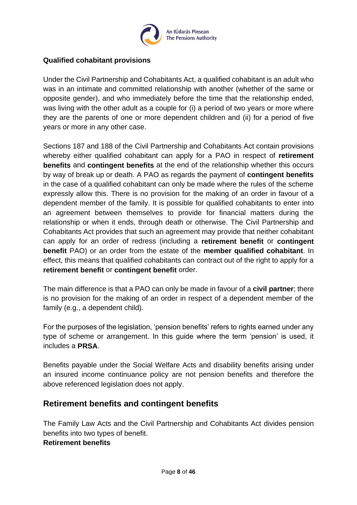

#### <span id="page-7-0"></span>**Qualified cohabitant provisions**

Under the Civil Partnership and Cohabitants Act, a qualified cohabitant is an adult who was in an intimate and committed relationship with another (whether of the same or opposite gender), and who immediately before the time that the relationship ended, was living with the other adult as a couple for (i) a period of two years or more where they are the parents of one or more dependent children and (ii) for a period of five years or more in any other case.

Sections 187 and 188 of the Civil Partnership and Cohabitants Act contain provisions whereby either qualified cohabitant can apply for a PAO in respect of **retirement benefits** and **contingent benefits** at the end of the relationship whether this occurs by way of break up or death. A PAO as regards the payment of **contingent benefits** in the case of a qualified cohabitant can only be made where the rules of the scheme expressly allow this. There is no provision for the making of an order in favour of a dependent member of the family. It is possible for qualified cohabitants to enter into an agreement between themselves to provide for financial matters during the relationship or when it ends, through death or otherwise. The Civil Partnership and Cohabitants Act provides that such an agreement may provide that neither cohabitant can apply for an order of redress (including a **retirement benefit** or **contingent benefit** PAO) or an order from the estate of the **member qualified cohabitant**. In effect, this means that qualified cohabitants can contract out of the right to apply for a **retirement benefit** or **contingent benefit** order.

The main difference is that a PAO can only be made in favour of a **civil partner**; there is no provision for the making of an order in respect of a dependent member of the family (e.g., a dependent child).

For the purposes of the legislation, 'pension benefits' refers to rights earned under any type of scheme or arrangement. In this guide where the term 'pension' is used, it includes a **PRSA**.

Benefits payable under the Social Welfare Acts and disability benefits arising under an insured income continuance policy are not pension benefits and therefore the above referenced legislation does not apply.

#### <span id="page-7-1"></span>**Retirement benefits and contingent benefits**

<span id="page-7-2"></span>The Family Law Acts and the Civil Partnership and Cohabitants Act divides pension benefits into two types of benefit. **Retirement benefits**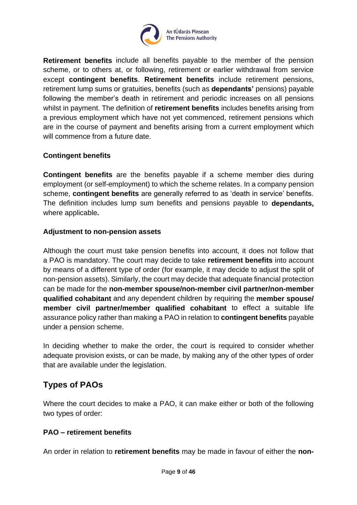

**Retirement benefits** include all benefits payable to the member of the pension scheme, or to others at, or following, retirement or earlier withdrawal from service except **contingent benefits**. **Retirement benefits** include retirement pensions, retirement lump sums or gratuities, benefits (such as **dependants'** pensions) payable following the member's death in retirement and periodic increases on all pensions whilst in payment. The definition of **retirement benefits** includes benefits arising from a previous employment which have not yet commenced, retirement pensions which are in the course of payment and benefits arising from a current employment which will commence from a future date.

#### <span id="page-8-0"></span>**Contingent benefits**

**Contingent benefits** are the benefits payable if a scheme member dies during employment (or self-employment) to which the scheme relates. In a company pension scheme, **contingent benefits** are generally referred to as 'death in service' benefits. The definition includes lump sum benefits and pensions payable to **dependants,**  where applicable**.**

#### <span id="page-8-1"></span>**Adjustment to non-pension assets**

Although the court must take pension benefits into account, it does not follow that a PAO is mandatory. The court may decide to take **retirement benefits** into account by means of a different type of order (for example, it may decide to adjust the split of non-pension assets). Similarly, the court may decide that adequate financial protection can be made for the **non-member spouse/non-member civil partner/non-member qualified cohabitant** and any dependent children by requiring the **member spouse/ member civil partner/member qualified cohabitant** to effect a suitable life assurance policy rather than making a PAO in relation to **contingent benefits** payable under a pension scheme.

In deciding whether to make the order, the court is required to consider whether adequate provision exists, or can be made, by making any of the other types of order that are available under the legislation.

# <span id="page-8-2"></span>**Types of PAOs**

Where the court decides to make a PAO, it can make either or both of the following two types of order:

#### <span id="page-8-3"></span>**PAO – retirement benefits**

An order in relation to **retirement benefits** may be made in favour of either the **non-**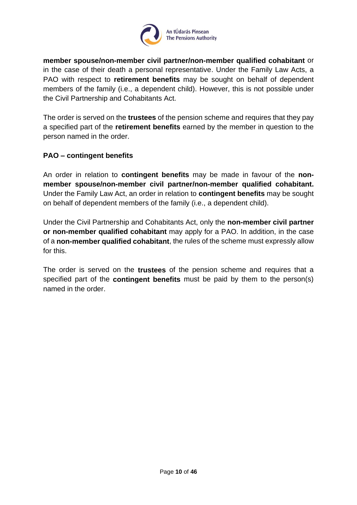

**member spouse/non-member civil partner/non-member qualified cohabitant** or in the case of their death a personal representative. Under the Family Law Acts, a PAO with respect to **retirement benefits** may be sought on behalf of dependent members of the family (i.e., a dependent child). However, this is not possible under the Civil Partnership and Cohabitants Act.

The order is served on the **trustees** of the pension scheme and requires that they pay a specified part of the **retirement benefits** earned by the member in question to the person named in the order.

#### <span id="page-9-0"></span>**PAO – contingent benefits**

An order in relation to **contingent benefits** may be made in favour of the **nonmember spouse/non-member civil partner/non-member qualified cohabitant.**  Under the Family Law Act, an order in relation to **contingent benefits** may be sought on behalf of dependent members of the family (i.e., a dependent child).

Under the Civil Partnership and Cohabitants Act, only the **non-member civil partner or non-member qualified cohabitant** may apply for a PAO. In addition, in the case of a **non-member qualified cohabitant**, the rules of the scheme must expressly allow for this.

The order is served on the **trustees** of the pension scheme and requires that a specified part of the **contingent benefits** must be paid by them to the person(s) named in the order.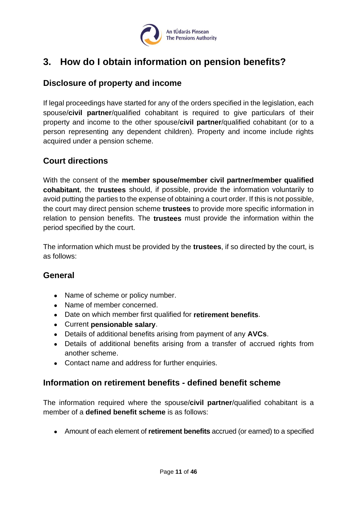

# <span id="page-10-0"></span>**3. How do I obtain information on pension benefits?**

### <span id="page-10-1"></span>**Disclosure of property and income**

If legal proceedings have started for any of the orders specified in the legislation, each spouse/**civil partner**/qualified cohabitant is required to give particulars of their property and income to the other spouse/**civil partner**/qualified cohabitant (or to a person representing any dependent children). Property and income include rights acquired under a pension scheme.

# <span id="page-10-2"></span>**Court directions**

With the consent of the **member spouse/member civil partner/member qualified cohabitant**, the **trustees** should, if possible, provide the information voluntarily to avoid putting the parties to the expense of obtaining a court order. If this is not possible, the court may direct pension scheme **trustees** to provide more specific information in relation to pension benefits. The **trustees** must provide the information within the period specified by the court.

The information which must be provided by the **trustees**, if so directed by the court, is as follows:

#### <span id="page-10-3"></span>**General**

- Name of scheme or policy number.
- Name of member concerned.
- Date on which member first qualified for **retirement benefits**.
- Current **pensionable salary**.
- Details of additional benefits arising from payment of any **AVCs**.
- Details of additional benefits arising from a transfer of accrued rights from another scheme.
- Contact name and address for further enquiries.

#### <span id="page-10-4"></span>**Information on retirement benefits - defined benefit scheme**

The information required where the spouse/**civil partner**/qualified cohabitant is a member of a **defined benefit scheme** is as follows:

• Amount of each element of **retirement benefits** accrued (or earned) to a specified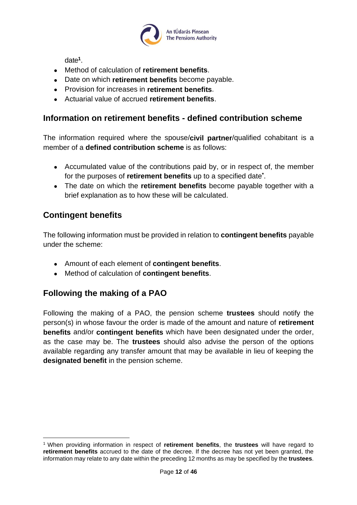

date**<sup>1</sup>** .

- Method of calculation of **retirement benefits**.
- Date on which **retirement benefits** become payable.
- Provision for increases in **retirement benefits**.
- Actuarial value of accrued **retirement benefits**.

### <span id="page-11-0"></span>**Information on retirement benefits - defined contribution scheme**

The information required where the spouse/**civil partner**/qualified cohabitant is a member of a **defined contribution scheme** is as follows:

- Accumulated value of the contributions paid by, or in respect of, the member for the purposes of **retirement benefits** up to a specified date**\*** .
- The date on which the **retirement benefits** become payable together with a brief explanation as to how these will be calculated.

# <span id="page-11-1"></span>**Contingent benefits**

The following information must be provided in relation to **contingent benefits** payable under the scheme:

- Amount of each element of **contingent benefits**.
- Method of calculation of **contingent benefits**.

# <span id="page-11-2"></span>**Following the making of a PAO**

Following the making of a PAO, the pension scheme **trustees** should notify the person(s) in whose favour the order is made of the amount and nature of **retirement benefits** and/or **contingent benefits** which have been designated under the order, as the case may be. The **trustees** should also advise the person of the options available regarding any transfer amount that may be available in lieu of keeping the **designated benefit** in the pension scheme.

<sup>1</sup> When providing information in respect of **retirement benefits**, the **trustees** will have regard to **retirement benefits** accrued to the date of the decree. If the decree has not yet been granted, the information may relate to any date within the preceding 12 months as may be specified by the **trustees**.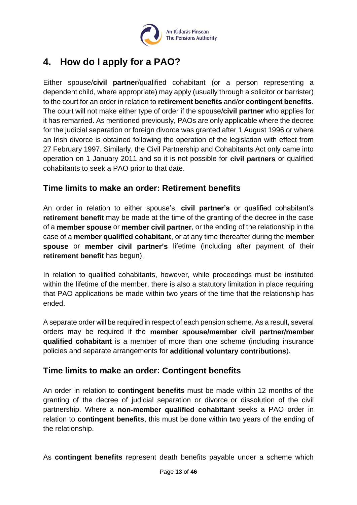

# <span id="page-12-0"></span>**4. How do I apply for a PAO?**

Either spouse/**civil partner**/qualified cohabitant (or a person representing a dependent child, where appropriate) may apply (usually through a solicitor or barrister) to the court for an order in relation to **retirement benefits** and/or **contingent benefits**. The court will not make either type of order if the spouse/**civil partner** who applies for it has remarried. As mentioned previously, PAOs are only applicable where the decree for the judicial separation or foreign divorce was granted after 1 August 1996 or where an Irish divorce is obtained following the operation of the legislation with effect from 27 February 1997. Similarly, the Civil Partnership and Cohabitants Act only came into operation on 1 January 2011 and so it is not possible for **civil partners** or qualified cohabitants to seek a PAO prior to that date.

### <span id="page-12-1"></span>**Time limits to make an order: Retirement benefits**

An order in relation to either spouse's, **civil partner's** or qualified cohabitant's **retirement benefit** may be made at the time of the granting of the decree in the case of a **member spouse** or **member civil partner**, or the ending of the relationship in the case of a **member qualified cohabitant**, or at any time thereafter during the **member spouse** or **member civil partner's** lifetime (including after payment of their **retirement benefit** has begun).

In relation to qualified cohabitants, however, while proceedings must be instituted within the lifetime of the member, there is also a statutory limitation in place requiring that PAO applications be made within two years of the time that the relationship has ended.

A separate order will be required in respect of each pension scheme. As a result, several orders may be required if the **member spouse/member civil partner/member qualified cohabitant** is a member of more than one scheme (including insurance policies and separate arrangements for **additional voluntary contributions**).

# <span id="page-12-2"></span>**Time limits to make an order: Contingent benefits**

An order in relation to **contingent benefits** must be made within 12 months of the granting of the decree of judicial separation or divorce or dissolution of the civil partnership. Where a **non-member qualified cohabitant** seeks a PAO order in relation to **contingent benefits**, this must be done within two years of the ending of the relationship.

As **contingent benefits** represent death benefits payable under a scheme which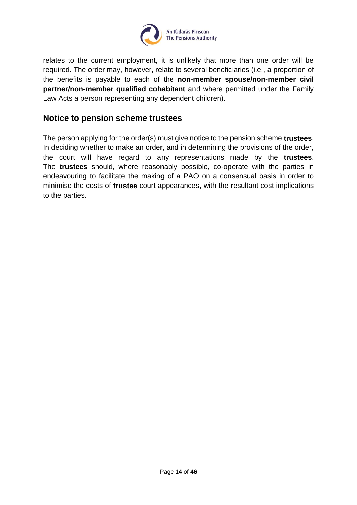

relates to the current employment, it is unlikely that more than one order will be required. The order may, however, relate to several beneficiaries (i.e., a proportion of the benefits is payable to each of the **non-member spouse/non-member civil partner/non-member qualified cohabitant** and where permitted under the Family Law Acts a person representing any dependent children).

#### <span id="page-13-0"></span>**Notice to pension scheme trustees**

The person applying for the order(s) must give notice to the pension scheme **trustees**. In deciding whether to make an order, and in determining the provisions of the order, the court will have regard to any representations made by the **trustees**. The **trustees** should, where reasonably possible, co-operate with the parties in endeavouring to facilitate the making of a PAO on a consensual basis in order to minimise the costs of **trustee** court appearances, with the resultant cost implications to the parties.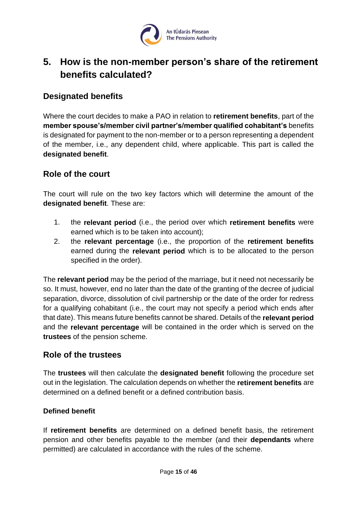

# <span id="page-14-0"></span>**5. How is the non-member person's share of the retirement benefits calculated?**

### <span id="page-14-1"></span>**Designated benefits**

Where the court decides to make a PAO in relation to **retirement benefits**, part of the **member spouse's/member civil partner's/member qualified cohabitant's** benefits is designated for payment to the non-member or to a person representing a dependent of the member, i.e., any dependent child, where applicable. This part is called the **designated benefit**.

#### <span id="page-14-2"></span>**Role of the court**

The court will rule on the two key factors which will determine the amount of the **designated benefit**. These are:

- 1. the **relevant period** (i.e., the period over which **retirement benefits** were earned which is to be taken into account);
- 2. the **relevant percentage** (i.e., the proportion of the **retirement benefits** earned during the **relevant period** which is to be allocated to the person specified in the order).

The **relevant period** may be the period of the marriage, but it need not necessarily be so. It must, however, end no later than the date of the granting of the decree of judicial separation, divorce, dissolution of civil partnership or the date of the order for redress for a qualifying cohabitant (i.e., the court may not specify a period which ends after that date). This means future benefits cannot be shared. Details of the **relevant period** and the **relevant percentage** will be contained in the order which is served on the **trustees** of the pension scheme.

#### <span id="page-14-3"></span>**Role of the trustees**

The **trustees** will then calculate the **designated benefit** following the procedure set out in the legislation. The calculation depends on whether the **retirement benefits** are determined on a defined benefit or a defined contribution basis.

#### <span id="page-14-4"></span>**Defined benefit**

If **retirement benefits** are determined on a defined benefit basis, the retirement pension and other benefits payable to the member (and their **dependants** where permitted) are calculated in accordance with the rules of the scheme.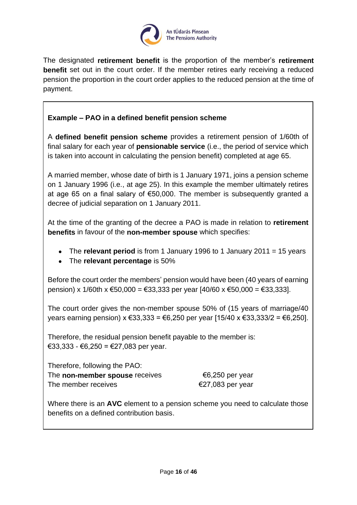

The designated **retirement benefit** is the proportion of the member's **retirement benefit** set out in the court order. If the member retires early receiving a reduced pension the proportion in the court order applies to the reduced pension at the time of payment.

#### **Example – PAO in a defined benefit pension scheme**

A **defined benefit pension scheme** provides a retirement pension of 1/60th of final salary for each year of **pensionable service** (i.e., the period of service which is taken into account in calculating the pension benefit) completed at age 65.

A married member, whose date of birth is 1 January 1971, joins a pension scheme on 1 January 1996 (i.e., at age 25). In this example the member ultimately retires at age 65 on a final salary of €50,000. The member is subsequently granted a decree of judicial separation on 1 January 2011.

At the time of the granting of the decree a PAO is made in relation to **retirement benefits** in favour of the **non-member spouse** which specifies:

- The **relevant period** is from 1 January 1996 to 1 January 2011 = 15 years
- The **relevant percentage** is 50%

Before the court order the members' pension would have been (40 years of earning pension) x 1/60th x €50,000 = €33,333 per year  $[40/60 \times 650,000 = 633,333]$ .

The court order gives the non-member spouse 50% of (15 years of marriage/40 years earning pension)  $x \in 33,333 = 66,250$  per year [15/40  $x \in 33,333/2 = 66,250$ ].

Therefore, the residual pension benefit payable to the member is: €33,333 - €6,250 = €27,083 per year.

Therefore, following the PAO: The **non-member spouse** receives <del>€</del>6,250 per year The member receives  $\epsilon$  27,083 per year

Where there is an **AVC** element to a pension scheme you need to calculate those benefits on a defined contribution basis.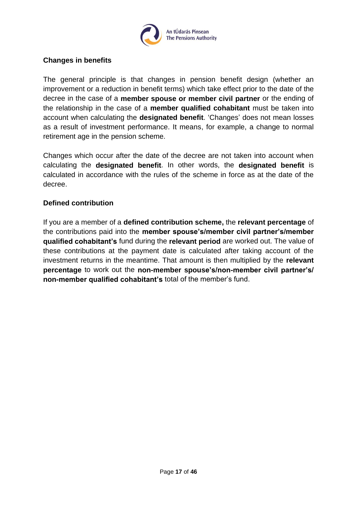

#### <span id="page-16-0"></span>**Changes in benefits**

The general principle is that changes in pension benefit design (whether an improvement or a reduction in benefit terms) which take effect prior to the date of the decree in the case of a **member spouse or member civil partner** or the ending of the relationship in the case of a **member qualified cohabitant** must be taken into account when calculating the **designated benefit**. 'Changes' does not mean losses as a result of investment performance. It means, for example, a change to normal retirement age in the pension scheme.

Changes which occur after the date of the decree are not taken into account when calculating the **designated benefit**. In other words, the **designated benefit** is calculated in accordance with the rules of the scheme in force as at the date of the decree.

#### <span id="page-16-1"></span>**Defined contribution**

If you are a member of a **defined contribution scheme,** the **relevant percentage** of the contributions paid into the **member spouse's/member civil partner's/member qualified cohabitant's** fund during the **relevant period** are worked out. The value of these contributions at the payment date is calculated after taking account of the investment returns in the meantime. That amount is then multiplied by the **relevant percentage** to work out the **non-member spouse's/non-member civil partner's/ non-member qualified cohabitant's** total of the member's fund.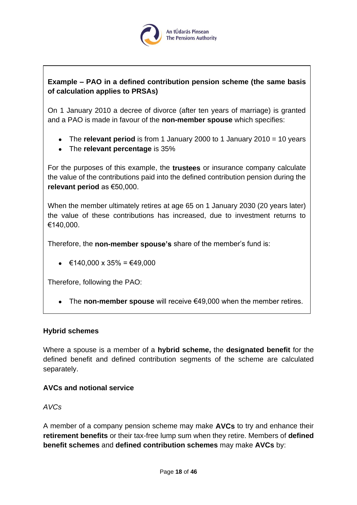

#### **Example – PAO in a defined contribution pension scheme (the same basis of calculation applies to PRSAs)**

On 1 January 2010 a decree of divorce (after ten years of marriage) is granted and a PAO is made in favour of the **non-member spouse** which specifies:

- The **relevant period** is from 1 January 2000 to 1 January 2010 = 10 years
- The **relevant percentage** is 35%

For the purposes of this example, the **trustees** or insurance company calculate the value of the contributions paid into the defined contribution pension during the **relevant period** as €50,000.

When the member ultimately retires at age 65 on 1 January 2030 (20 years later) the value of these contributions has increased, due to investment returns to €140,000.

Therefore, the **non-member spouse's** share of the member's fund is:

• €140,000 x 35% = €49,000

Therefore, following the PAO:

• The **non-member spouse** will receive €49,000 when the member retires.

#### <span id="page-17-0"></span>**Hybrid schemes**

Where a spouse is a member of a **hybrid scheme,** the **designated benefit** for the defined benefit and defined contribution segments of the scheme are calculated separately.

#### <span id="page-17-1"></span>**AVCs and notional service**

*AVCs*

A member of a company pension scheme may make **AVCs** to try and enhance their **retirement benefits** or their tax-free lump sum when they retire. Members of **defined benefit schemes** and **defined contribution schemes** may make **AVCs** by: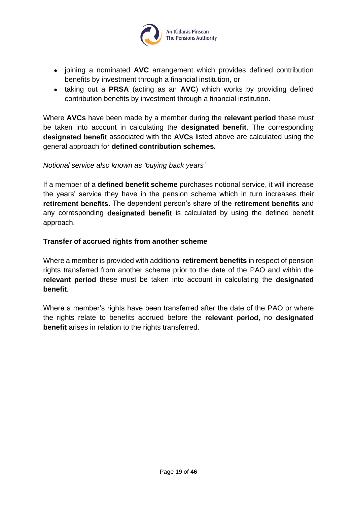

- joining a nominated **AVC** arrangement which provides defined contribution benefits by investment through a financial institution, or
- taking out a **PRSA** (acting as an **AVC**) which works by providing defined contribution benefits by investment through a financial institution.

Where **AVCs** have been made by a member during the **relevant period** these must be taken into account in calculating the **designated benefit**. The corresponding **designated benefit** associated with the **AVCs** listed above are calculated using the general approach for **defined contribution schemes.**

#### *Notional service also known as 'buying back years'*

If a member of a **defined benefit scheme** purchases notional service, it will increase the years' service they have in the pension scheme which in turn increases their **retirement benefits**. The dependent person's share of the **retirement benefits** and any corresponding **designated benefit** is calculated by using the defined benefit approach.

#### <span id="page-18-0"></span>**Transfer of accrued rights from another scheme**

Where a member is provided with additional **retirement benefits** in respect of pension rights transferred from another scheme prior to the date of the PAO and within the **relevant period** these must be taken into account in calculating the **designated benefit**.

Where a member's rights have been transferred after the date of the PAO or where the rights relate to benefits accrued before the **relevant period**, no **designated benefit** arises in relation to the rights transferred.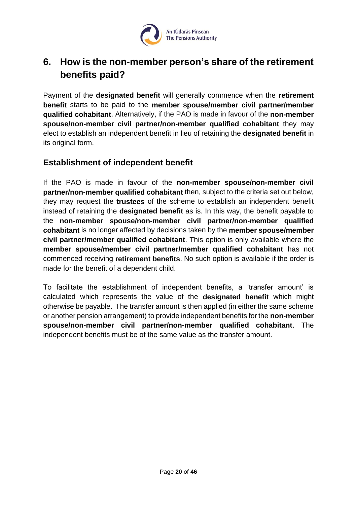

# <span id="page-19-0"></span>**6. How is the non-member person's share of the retirement benefits paid?**

Payment of the **designated benefit** will generally commence when the **retirement benefit** starts to be paid to the **member spouse/member civil partner/member qualified cohabitant**. Alternatively, if the PAO is made in favour of the **non-member spouse/non-member civil partner/non-member qualified cohabitant** they may elect to establish an independent benefit in lieu of retaining the **designated benefit** in its original form.

# <span id="page-19-1"></span>**Establishment of independent benefit**

If the PAO is made in favour of the **non-member spouse/non-member civil partner/non-member qualified cohabitant** then, subject to the criteria set out below, they may request the **trustees** of the scheme to establish an independent benefit instead of retaining the **designated benefit** as is. In this way, the benefit payable to the **non-member spouse/non-member civil partner/non-member qualified cohabitant** is no longer affected by decisions taken by the **member spouse/member civil partner/member qualified cohabitant**. This option is only available where the **member spouse/member civil partner/member qualified cohabitant** has not commenced receiving **retirement benefits**. No such option is available if the order is made for the benefit of a dependent child.

To facilitate the establishment of independent benefits, a 'transfer amount' is calculated which represents the value of the **designated benefit** which might otherwise be payable. The transfer amount is then applied (in either the same scheme or another pension arrangement) to provide independent benefits for the **non-member spouse/non-member civil partner/non-member qualified cohabitant**. The independent benefits must be of the same value as the transfer amount.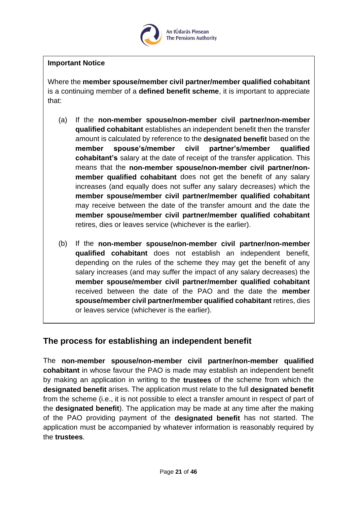

#### **Important Notice**

Where the **member spouse/member civil partner/member qualified cohabitant** is a continuing member of a **defined benefit scheme**, it is important to appreciate that:

- (a) If the **non-member spouse/non-member civil partner/non-member qualified cohabitant** establishes an independent benefit then the transfer amount is calculated by reference to the **designated benefit** based on the **member spouse's/member civil partner's/member qualified cohabitant's** salary at the date of receipt of the transfer application. This means that the **non-member spouse/non-member civil partner/nonmember qualified cohabitant** does not get the benefit of any salary increases (and equally does not suffer any salary decreases) which the **member spouse/member civil partner/member qualified cohabitant** may receive between the date of the transfer amount and the date the **member spouse/member civil partner/member qualified cohabitant** retires, dies or leaves service (whichever is the earlier).
- (b) If the **non-member spouse/non-member civil partner/non-member qualified cohabitant** does not establish an independent benefit, depending on the rules of the scheme they may get the benefit of any salary increases (and may suffer the impact of any salary decreases) the **member spouse/member civil partner/member qualified cohabitant** received between the date of the PAO and the date the **member spouse/member civil partner/member qualified cohabitant** retires, dies or leaves service (whichever is the earlier).

# <span id="page-20-0"></span>**The process for establishing an independent benefit**

The **non-member spouse/non-member civil partner/non-member qualified cohabitant** in whose favour the PAO is made may establish an independent benefit by making an application in writing to the **trustees** of the scheme from which the **designated benefit** arises. The application must relate to the full **designated benefit** from the scheme (i.e., it is not possible to elect a transfer amount in respect of part of the **designated benefit**). The application may be made at any time after the making of the PAO providing payment of the **designated benefit** has not started. The application must be accompanied by whatever information is reasonably required by the **trustees**.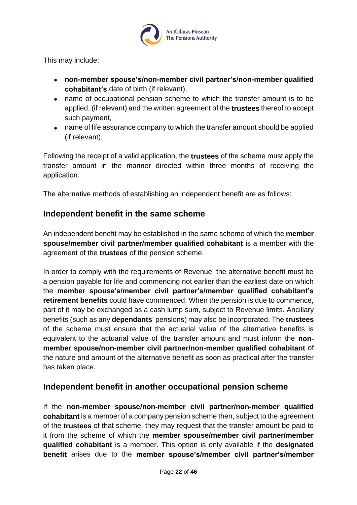

This may include:

- **non-member spouse's/non-member civil partner's/non-member qualified cohabitant's** date of birth (if relevant),
- name of occupational pension scheme to which the transfer amount is to be applied, (if relevant) and the written agreement of the **trustees** thereof to accept such payment,
- name of life assurance company to which the transfer amount should be applied (if relevant).

Following the receipt of a valid application, the **trustees** of the scheme must apply the transfer amount in the manner directed within three months of receiving the application.

The alternative methods of establishing an independent benefit are as follows:

### <span id="page-21-0"></span>**Independent benefit in the same scheme**

An independent benefit may be established in the same scheme of which the **member spouse/member civil partner/member qualified cohabitant** is a member with the agreement of the **trustees** of the pension scheme.

In order to comply with the requirements of Revenue, the alternative benefit must be a pension payable for life and commencing not earlier than the earliest date on which the **member spouse's/member civil partner's/member qualified cohabitant's retirement benefits** could have commenced. When the pension is due to commence, part of it may be exchanged as a cash lump sum, subject to Revenue limits. Ancillary benefits (such as any **dependants**' pensions) may also be incorporated. The **trustees** of the scheme must ensure that the actuarial value of the alternative benefits is equivalent to the actuarial value of the transfer amount and must inform the **nonmember spouse/non-member civil partner/non-member qualified cohabitant** of the nature and amount of the alternative benefit as soon as practical after the transfer has taken place.

# <span id="page-21-1"></span>**Independent benefit in another occupational pension scheme**

If the **non-member spouse/non-member civil partner/non-member qualified cohabitant** is a member of a company pension scheme then, subject to the agreement of the **trustees** of that scheme, they may request that the transfer amount be paid to it from the scheme of which the **member spouse/member civil partner/member qualified cohabitant** is a member. This option is only available if the **designated benefit** arises due to the **member spouse's/member civil partner's/member**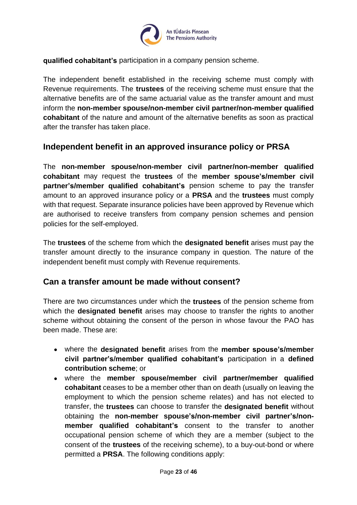

**qualified cohabitant's** participation in a company pension scheme.

The independent benefit established in the receiving scheme must comply with Revenue requirements. The **trustees** of the receiving scheme must ensure that the alternative benefits are of the same actuarial value as the transfer amount and must inform the **non-member spouse/non-member civil partner/non-member qualified cohabitant** of the nature and amount of the alternative benefits as soon as practical after the transfer has taken place.

### <span id="page-22-0"></span>**Independent benefit in an approved insurance policy or PRSA**

The **non-member spouse/non-member civil partner/non-member qualified cohabitant** may request the **trustees** of the **member spouse's/member civil partner's/member qualified cohabitant's** pension scheme to pay the transfer amount to an approved insurance policy or a **PRSA** and the **trustees** must comply with that request. Separate insurance policies have been approved by Revenue which are authorised to receive transfers from company pension schemes and pension policies for the self-employed.

The **trustees** of the scheme from which the **designated benefit** arises must pay the transfer amount directly to the insurance company in question. The nature of the independent benefit must comply with Revenue requirements.

# <span id="page-22-1"></span>**Can a transfer amount be made without consent?**

There are two circumstances under which the **trustees** of the pension scheme from which the **designated benefit** arises may choose to transfer the rights to another scheme without obtaining the consent of the person in whose favour the PAO has been made. These are:

- where the **designated benefit** arises from the **member spouse's/member civil partner's/member qualified cohabitant's** participation in a **defined contribution scheme**; or
- where the **member spouse/member civil partner/member qualified cohabitant** ceases to be a member other than on death (usually on leaving the employment to which the pension scheme relates) and has not elected to transfer, the **trustees** can choose to transfer the **designated benefit** without obtaining the **non-member spouse's/non-member civil partner's/nonmember qualified cohabitant's** consent to the transfer to another occupational pension scheme of which they are a member (subject to the consent of the **trustees** of the receiving scheme), to a buy-out-bond or where permitted a **PRSA**. The following conditions apply: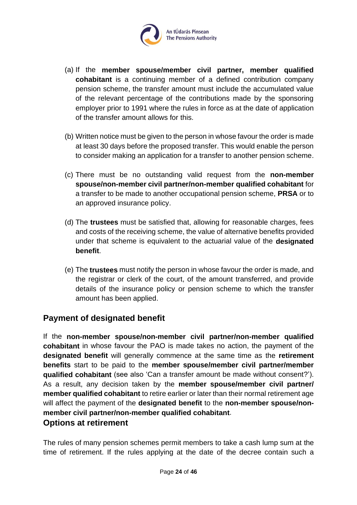

- (a) If the **member spouse/member civil partner, member qualified cohabitant** is a continuing member of a defined contribution company pension scheme, the transfer amount must include the accumulated value of the relevant percentage of the contributions made by the sponsoring employer prior to 1991 where the rules in force as at the date of application of the transfer amount allows for this.
- (b) Written notice must be given to the person in whose favour the order is made at least 30 days before the proposed transfer. This would enable the person to consider making an application for a transfer to another pension scheme.
- (c) There must be no outstanding valid request from the **non-member spouse/non-member civil partner/non-member qualified cohabitant** for a transfer to be made to another occupational pension scheme, **PRSA** or to an approved insurance policy.
- (d) The **trustees** must be satisfied that, allowing for reasonable charges, fees and costs of the receiving scheme, the value of alternative benefits provided under that scheme is equivalent to the actuarial value of the **designated benefit**.
- (e) The **trustees** must notify the person in whose favour the order is made, and the registrar or clerk of the court, of the amount transferred, and provide details of the insurance policy or pension scheme to which the transfer amount has been applied.

# <span id="page-23-0"></span>**Payment of designated benefit**

If the **non-member spouse/non-member civil partner/non-member qualified cohabitant** in whose favour the PAO is made takes no action, the payment of the **designated benefit** will generally commence at the same time as the **retirement benefits** start to be paid to the **member spouse/member civil partner/member qualified cohabitant** (see also 'Can a transfer amount be made without consent?'). As a result, any decision taken by the **member spouse/member civil partner/ member qualified cohabitant** to retire earlier or later than their normal retirement age will affect the payment of the **designated benefit** to the **non-member spouse/nonmember civil partner/non-member qualified cohabitant**.

#### <span id="page-23-1"></span>**Options at retirement**

The rules of many pension schemes permit members to take a cash lump sum at the time of retirement. If the rules applying at the date of the decree contain such a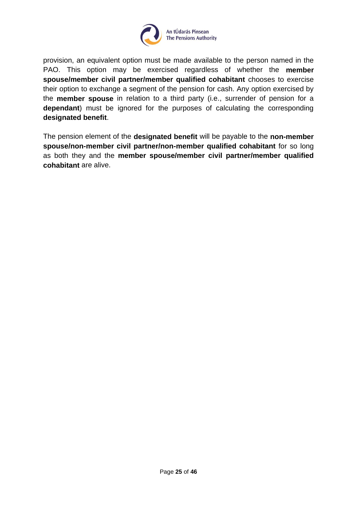

provision, an equivalent option must be made available to the person named in the PAO. This option may be exercised regardless of whether the **member spouse/member civil partner/member qualified cohabitant** chooses to exercise their option to exchange a segment of the pension for cash. Any option exercised by the **member spouse** in relation to a third party (i.e., surrender of pension for a **dependant**) must be ignored for the purposes of calculating the corresponding **designated benefit**.

The pension element of the **designated benefit** will be payable to the **non-member spouse/non-member civil partner/non-member qualified cohabitant** for so long as both they and the **member spouse/member civil partner/member qualified cohabitant** are alive.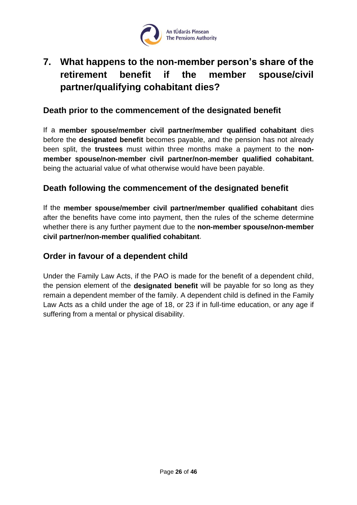

# <span id="page-25-0"></span>**7. What happens to the non-member person's share of the retirement benefit if the member spouse/civil partner/qualifying cohabitant dies?**

### <span id="page-25-1"></span>**Death prior to the commencement of the designated benefit**

If a **member spouse/member civil partner/member qualified cohabitant** dies before the **designated benefit** becomes payable, and the pension has not already been split, the **trustees** must within three months make a payment to the **nonmember spouse/non-member civil partner/non-member qualified cohabitant**, being the actuarial value of what otherwise would have been payable.

### <span id="page-25-2"></span>**Death following the commencement of the designated benefit**

If the **member spouse/member civil partner/member qualified cohabitant** dies after the benefits have come into payment, then the rules of the scheme determine whether there is any further payment due to the **non-member spouse/non-member civil partner/non-member qualified cohabitant**.

# <span id="page-25-3"></span>**Order in favour of a dependent child**

Under the Family Law Acts, if the PAO is made for the benefit of a dependent child, the pension element of the **designated benefit** will be payable for so long as they remain a dependent member of the family. A dependent child is defined in the Family Law Acts as a child under the age of 18, or 23 if in full-time education, or any age if suffering from a mental or physical disability.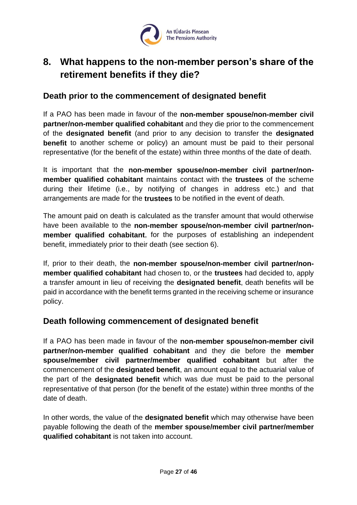

# <span id="page-26-0"></span>**8. What happens to the non-member person's share of the retirement benefits if they die?**

#### <span id="page-26-1"></span>**Death prior to the commencement of designated benefit**

If a PAO has been made in favour of the **non-member spouse/non-member civil partner/non-member qualified cohabitant** and they die prior to the commencement of the **designated benefit** (and prior to any decision to transfer the **designated benefit** to another scheme or policy) an amount must be paid to their personal representative (for the benefit of the estate) within three months of the date of death.

It is important that the **non-member spouse/non-member civil partner/nonmember qualified cohabitant** maintains contact with the **trustees** of the scheme during their lifetime (i.e., by notifying of changes in address etc.) and that arrangements are made for the **trustees** to be notified in the event of death.

The amount paid on death is calculated as the transfer amount that would otherwise have been available to the **non-member spouse/non-member civil partner/nonmember qualified cohabitant**, for the purposes of establishing an independent benefit, immediately prior to their death (see section 6).

If, prior to their death, the **non-member spouse/non-member civil partner/nonmember qualified cohabitant** had chosen to, or the **trustees** had decided to, apply a transfer amount in lieu of receiving the **designated benefit**, death benefits will be paid in accordance with the benefit terms granted in the receiving scheme or insurance policy.

#### <span id="page-26-2"></span>**Death following commencement of designated benefit**

If a PAO has been made in favour of the **non-member spouse/non-member civil partner/non-member qualified cohabitant** and they die before the **member spouse/member civil partner/member qualified cohabitant** but after the commencement of the **designated benefit**, an amount equal to the actuarial value of the part of the **designated benefit** which was due must be paid to the personal representative of that person (for the benefit of the estate) within three months of the date of death.

In other words, the value of the **designated benefit** which may otherwise have been payable following the death of the **member spouse/member civil partner/member qualified cohabitant** is not taken into account.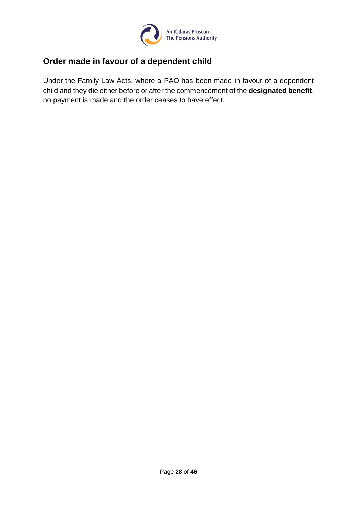

# <span id="page-27-0"></span>**Order made in favour of a dependent child**

Under the Family Law Acts, where a PAO has been made in favour of a dependent child and they die either before or after the commencement of the **designated benefit**, no payment is made and the order ceases to have effect.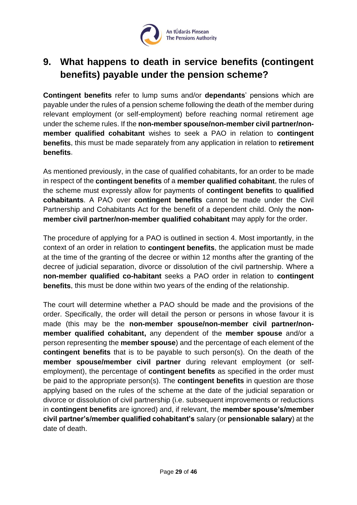

# <span id="page-28-0"></span>**9. What happens to death in service benefits (contingent benefits) payable under the pension scheme?**

**Contingent benefits** refer to lump sums and/or **dependants**' pensions which are payable under the rules of a pension scheme following the death of the member during relevant employment (or self-employment) before reaching normal retirement age under the scheme rules. If the **non-member spouse/non-member civil partner/nonmember qualified cohabitant** wishes to seek a PAO in relation to **contingent benefits**, this must be made separately from any application in relation to **retirement benefits**.

As mentioned previously, in the case of qualified cohabitants, for an order to be made in respect of the **contingent benefits** of a **member qualified cohabitant**, the rules of the scheme must expressly allow for payments of **contingent benefits** to **qualified cohabitants**. A PAO over **contingent benefits** cannot be made under the Civil Partnership and Cohabitants Act for the benefit of a dependent child. Only the **nonmember civil partner/non-member qualified cohabitant** may apply for the order.

The procedure of applying for a PAO is outlined in section 4. Most importantly, in the context of an order in relation to **contingent benefits**, the application must be made at the time of the granting of the decree or within 12 months after the granting of the decree of judicial separation, divorce or dissolution of the civil partnership. Where a **non-member qualified co-habitant** seeks a PAO order in relation to **contingent benefits**, this must be done within two years of the ending of the relationship.

The court will determine whether a PAO should be made and the provisions of the order. Specifically, the order will detail the person or persons in whose favour it is made (this may be the **non-member spouse/non-member civil partner/nonmember qualified cohabitant,** any dependent of the **member spouse** and/or a person representing the **member spouse**) and the percentage of each element of the **contingent benefits** that is to be payable to such person(s). On the death of the **member spouse/member civil partner** during relevant employment (or selfemployment), the percentage of **contingent benefits** as specified in the order must be paid to the appropriate person(s). The **contingent benefits** in question are those applying based on the rules of the scheme at the date of the judicial separation or divorce or dissolution of civil partnership (i.e. subsequent improvements or reductions in **contingent benefits** are ignored) and, if relevant, the **member spouse's/member civil partner's/member qualified cohabitant's** salary (or **pensionable salary**) at the date of death.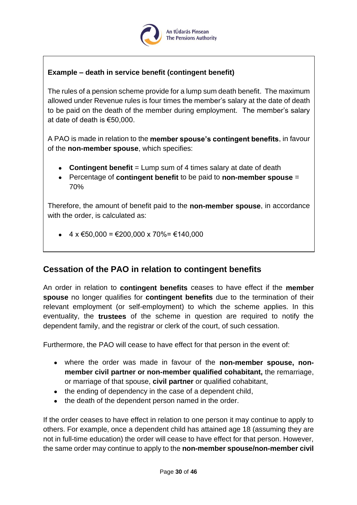

### **Example – death in service benefit (contingent benefit)**

The rules of a pension scheme provide for a lump sum death benefit. The maximum allowed under Revenue rules is four times the member's salary at the date of death to be paid on the death of the member during employment. The member's salary at date of death is €50,000.

A PAO is made in relation to the **member spouse's contingent benefits**, in favour of the **non-member spouse**, which specifies:

- **Contingent benefit** = Lump sum of 4 times salary at date of death
- Percentage of **contingent benefit** to be paid to **non-member spouse** = 70%

Therefore, the amount of benefit paid to the **non-member spouse**, in accordance with the order, is calculated as:

•  $4 \times \text{\textsterling}50,000 = \text{\textsterling}200,000 \times 70\% = \text{\textsterling}140,000$ 

# <span id="page-29-0"></span>**Cessation of the PAO in relation to contingent benefits**

An order in relation to **contingent benefits** ceases to have effect if the **member spouse** no longer qualifies for **contingent benefits** due to the termination of their relevant employment (or self-employment) to which the scheme applies. In this eventuality, the **trustees** of the scheme in question are required to notify the dependent family, and the registrar or clerk of the court, of such cessation.

Furthermore, the PAO will cease to have effect for that person in the event of:

- where the order was made in favour of the **non-member spouse, nonmember civil partner or non-member qualified cohabitant,** the remarriage, or marriage of that spouse, **civil partner** or qualified cohabitant,
- the ending of dependency in the case of a dependent child,
- the death of the dependent person named in the order.

If the order ceases to have effect in relation to one person it may continue to apply to others. For example, once a dependent child has attained age 18 (assuming they are not in full-time education) the order will cease to have effect for that person. However, the same order may continue to apply to the **non-member spouse/non-member civil**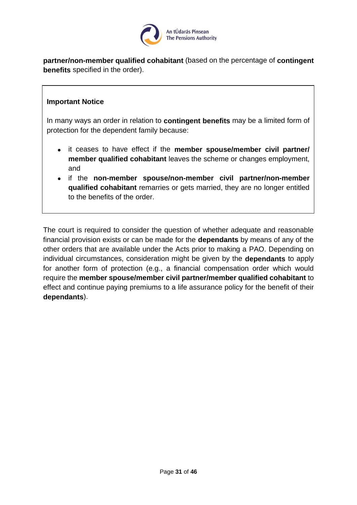

**partner/non-member qualified cohabitant** (based on the percentage of **contingent benefits** specified in the order).

#### **Important Notice**

In many ways an order in relation to **contingent benefits** may be a limited form of protection for the dependent family because:

- it ceases to have effect if the **member spouse/member civil partner/ member qualified cohabitant** leaves the scheme or changes employment, and
- if the **non-member spouse/non-member civil partner/non-member qualified cohabitant** remarries or gets married, they are no longer entitled to the benefits of the order.

The court is required to consider the question of whether adequate and reasonable financial provision exists or can be made for the **dependants** by means of any of the other orders that are available under the Acts prior to making a PAO. Depending on individual circumstances, consideration might be given by the **dependants** to apply for another form of protection (e.g., a financial compensation order which would require the **member spouse/member civil partner/member qualified cohabitant** to effect and continue paying premiums to a life assurance policy for the benefit of their **dependants**).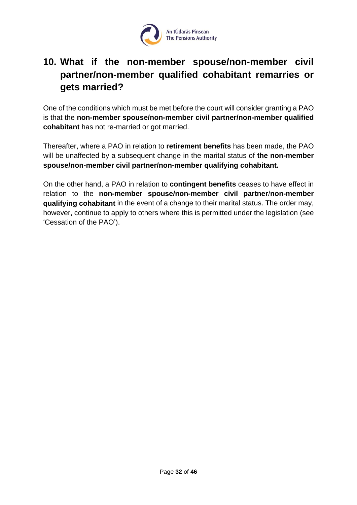

# <span id="page-31-0"></span>**10. What if the non-member spouse/non-member civil partner/non-member qualified cohabitant remarries or gets married?**

One of the conditions which must be met before the court will consider granting a PAO is that the **non-member spouse/non-member civil partner/non-member qualified cohabitant** has not re-married or got married.

Thereafter, where a PAO in relation to **retirement benefits** has been made, the PAO will be unaffected by a subsequent change in the marital status of **the non-member spouse/non-member civil partner/non-member qualifying cohabitant.**

On the other hand, a PAO in relation to **contingent benefits** ceases to have effect in relation to the **non-member spouse/non-member civil partner**/**non-member qualifying cohabitant** in the event of a change to their marital status. The order may, however, continue to apply to others where this is permitted under the legislation (see 'Cessation of the PAO').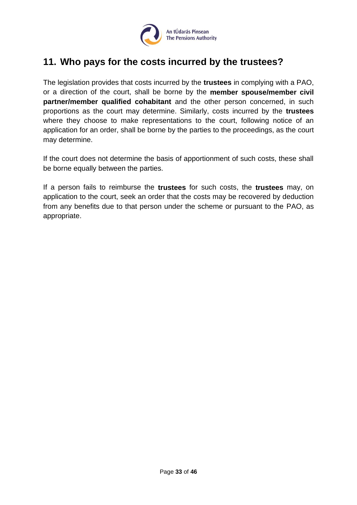

# <span id="page-32-0"></span>**11. Who pays for the costs incurred by the trustees?**

The legislation provides that costs incurred by the **trustees** in complying with a PAO, or a direction of the court, shall be borne by the **member spouse/member civil partner/member qualified cohabitant** and the other person concerned, in such proportions as the court may determine. Similarly, costs incurred by the **trustees** where they choose to make representations to the court, following notice of an application for an order, shall be borne by the parties to the proceedings, as the court may determine.

If the court does not determine the basis of apportionment of such costs, these shall be borne equally between the parties.

If a person fails to reimburse the **trustees** for such costs, the **trustees** may, on application to the court, seek an order that the costs may be recovered by deduction from any benefits due to that person under the scheme or pursuant to the PAO, as appropriate.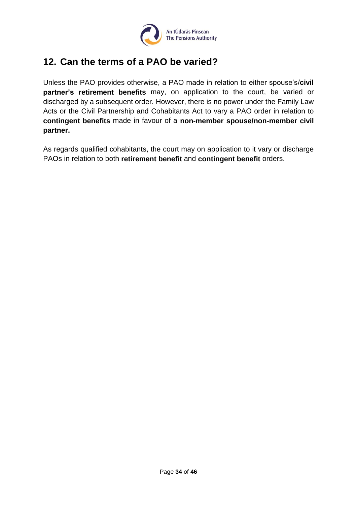

# <span id="page-33-0"></span>**12. Can the terms of a PAO be varied?**

Unless the PAO provides otherwise, a PAO made in relation to either spouse's/**civil partner's retirement benefits** may, on application to the court, be varied or discharged by a subsequent order. However, there is no power under the Family Law Acts or the Civil Partnership and Cohabitants Act to vary a PAO order in relation to **contingent benefits** made in favour of a **non-member spouse/non-member civil partner.**

As regards qualified cohabitants, the court may on application to it vary or discharge PAOs in relation to both **retirement benefit** and **contingent benefit** orders.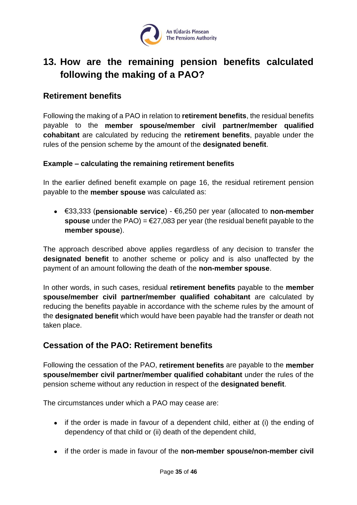

# <span id="page-34-0"></span>**13. How are the remaining pension benefits calculated following the making of a PAO?**

#### <span id="page-34-1"></span>**Retirement benefits**

Following the making of a PAO in relation to **retirement benefits**, the residual benefits payable to the **member spouse/member civil partner/member qualified cohabitant** are calculated by reducing the **retirement benefits**, payable under the rules of the pension scheme by the amount of the **designated benefit**.

#### **Example – calculating the remaining retirement benefits**

In the earlier defined benefit example on page 16, the residual retirement pension payable to the **member spouse** was calculated as:

• €33,333 (**pensionable service**) - €6,250 per year (allocated to **non-member spouse** under the PAO) = €27,083 per year (the residual benefit payable to the **member spouse**).

The approach described above applies regardless of any decision to transfer the **designated benefit** to another scheme or policy and is also unaffected by the payment of an amount following the death of the **non-member spouse**.

In other words, in such cases, residual **retirement benefits** payable to the **member spouse/member civil partner/member qualified cohabitant** are calculated by reducing the benefits payable in accordance with the scheme rules by the amount of the **designated benefit** which would have been payable had the transfer or death not taken place.

# <span id="page-34-2"></span>**Cessation of the PAO: Retirement benefits**

Following the cessation of the PAO, **retirement benefits** are payable to the **member spouse/member civil partner/member qualified cohabitant** under the rules of the pension scheme without any reduction in respect of the **designated benefit**.

The circumstances under which a PAO may cease are:

- if the order is made in favour of a dependent child, either at (i) the ending of dependency of that child or (ii) death of the dependent child,
- if the order is made in favour of the **non-member spouse/non-member civil**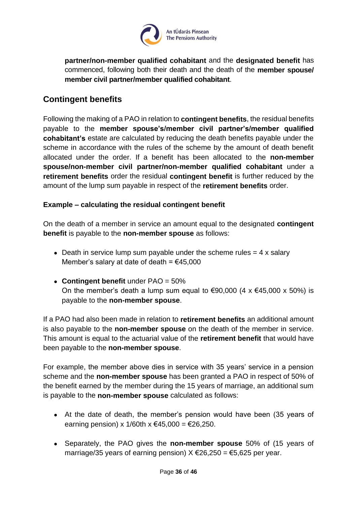

**partner/non-member qualified cohabitant** and the **designated benefit** has commenced, following both their death and the death of the **member spouse/ member civil partner/member qualified cohabitant**.

# <span id="page-35-0"></span>**Contingent benefits**

Following the making of a PAO in relation to **contingent benefits**, the residual benefits payable to the **member spouse's/member civil partner's/member qualified cohabitant's** estate are calculated by reducing the death benefits payable under the scheme in accordance with the rules of the scheme by the amount of death benefit allocated under the order. If a benefit has been allocated to the **non-member spouse/non-member civil partner/non-member qualified cohabitant** under a **retirement benefits** order the residual **contingent benefit** is further reduced by the amount of the lump sum payable in respect of the **retirement benefits** order.

#### **Example – calculating the residual contingent benefit**

On the death of a member in service an amount equal to the designated **contingent benefit** is payable to the **non-member spouse** as follows:

- Death in service lump sum payable under the scheme rules  $= 4 \times$  salary Member's salary at date of death =  $€45,000$
- **Contingent benefit** under PAO = 50% On the member's death a lump sum equal to  $\epsilon$ 90,000 (4 x  $\epsilon$ 45,000 x 50%) is payable to the **non-member spouse**.

If a PAO had also been made in relation to **retirement benefits** an additional amount is also payable to the **non-member spouse** on the death of the member in service. This amount is equal to the actuarial value of the **retirement benefit** that would have been payable to the **non-member spouse**.

For example, the member above dies in service with 35 years' service in a pension scheme and the **non-member spouse** has been granted a PAO in respect of 50% of the benefit earned by the member during the 15 years of marriage, an additional sum is payable to the **non-member spouse** calculated as follows:

- At the date of death, the member's pension would have been (35 years of earning pension) x 1/60th x €45,000 = €26,250.
- Separately, the PAO gives the **non-member spouse** 50% of (15 years of marriage/35 years of earning pension)  $X \text{ €}26,250 = \text{€}5,625$  per year.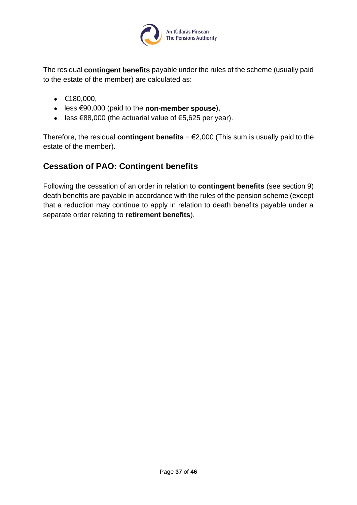

The residual **contingent benefits** payable under the rules of the scheme (usually paid to the estate of the member) are calculated as:

- $€180,000,$
- less €90,000 (paid to the **non-member spouse**),
- less  $\epsilon$ 88,000 (the actuarial value of  $\epsilon$ 5,625 per year).

Therefore, the residual **contingent benefits** =  $E2,000$  (This sum is usually paid to the estate of the member).

# <span id="page-36-0"></span>**Cessation of PAO: Contingent benefits**

Following the cessation of an order in relation to **contingent benefits** (see section 9) death benefits are payable in accordance with the rules of the pension scheme (except that a reduction may continue to apply in relation to death benefits payable under a separate order relating to **retirement benefits**).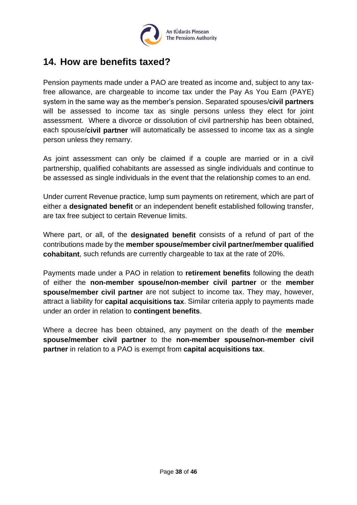

# <span id="page-37-0"></span>**14. How are benefits taxed?**

Pension payments made under a PAO are treated as income and, subject to any taxfree allowance, are chargeable to income tax under the Pay As You Earn (PAYE) system in the same way as the member's pension. Separated spouses/**civil partners** will be assessed to income tax as single persons unless they elect for joint assessment. Where a divorce or dissolution of civil partnership has been obtained, each spouse/**civil partner** will automatically be assessed to income tax as a single person unless they remarry.

As joint assessment can only be claimed if a couple are married or in a civil partnership, qualified cohabitants are assessed as single individuals and continue to be assessed as single individuals in the event that the relationship comes to an end.

Under current Revenue practice, lump sum payments on retirement, which are part of either a **designated benefit** or an independent benefit established following transfer, are tax free subject to certain Revenue limits.

Where part, or all, of the **designated benefit** consists of a refund of part of the contributions made by the **member spouse/member civil partner/member qualified cohabitant**, such refunds are currently chargeable to tax at the rate of 20%.

Payments made under a PAO in relation to **retirement benefits** following the death of either the **non-member spouse/non-member civil partner** or the **member spouse/member civil partner** are not subject to income tax. They may, however, attract a liability for **capital acquisitions tax**. Similar criteria apply to payments made under an order in relation to **contingent benefits**.

Where a decree has been obtained, any payment on the death of the **member spouse/member civil partner** to the **non-member spouse/non-member civil partner** in relation to a PAO is exempt from **capital acquisitions tax**.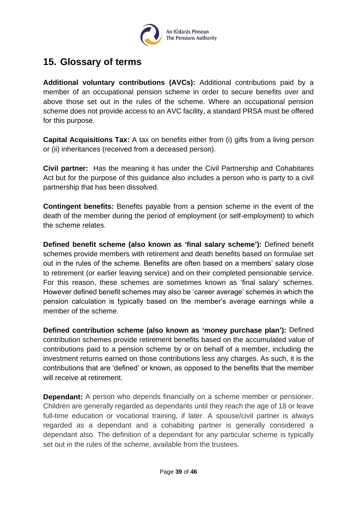

# <span id="page-38-0"></span>**15. Glossary of terms**

**Additional voluntary contributions (AVCs):** Additional contributions paid by a member of an occupational pension scheme in order to secure benefits over and above those set out in the rules of the scheme. Where an occupational pension scheme does not provide access to an AVC facility, a standard PRSA must be offered for this purpose.

**Capital Acquisitions Tax:** A tax on benefits either from (i) gifts from a living person or (ii) inheritances (received from a deceased person).

**Civil partner:** Has the meaning it has under the Civil Partnership and Cohabitants Act but for the purpose of this guidance also includes a person who is party to a civil partnership that has been dissolved.

**Contingent benefits:** Benefits payable from a pension scheme in the event of the death of the member during the period of employment (or self-employment) to which the scheme relates.

**Defined benefit scheme (also known as 'final salary scheme'):** Defined benefit schemes provide members with retirement and death benefits based on formulae set out in the rules of the scheme. Benefits are often based on a members' salary close to retirement (or earlier leaving service) and on their completed pensionable service. For this reason, these schemes are sometimes known as 'final salary' schemes. However defined benefit schemes may also be 'career average' schemes in which the pension calculation is typically based on the member's average earnings while a member of the scheme.

**Defined contribution scheme (also known as 'money purchase plan'):** Defined contribution schemes provide retirement benefits based on the accumulated value of contributions paid to a pension scheme by or on behalf of a member, including the investment returns earned on those contributions less any charges. As such, it is the contributions that are 'defined' or known, as opposed to the benefits that the member will receive at retirement.

**Dependant:** A person who depends financially on a scheme member or pensioner. Children are generally regarded as dependants until they reach the age of 18 or leave full-time education or vocational training, if later. A spouse/civil partner is always regarded as a dependant and a cohabiting partner is generally considered a dependant also. The definition of a dependant for any particular scheme is typically set out in the rules of the scheme, available from the trustees.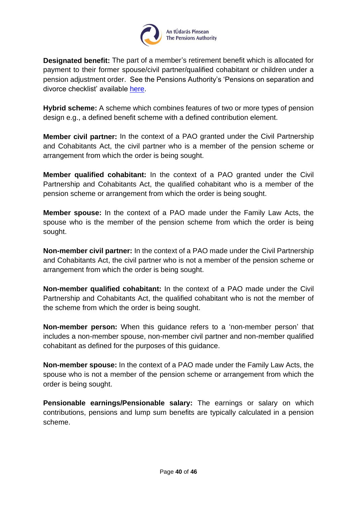

**Designated benefit:** The part of a member's retirement benefit which is allocated for payment to their former spouse/civil partner/qualified cohabitant or children under a pension adjustment order. See the Pensions Authority's 'Pensions on separation and divorce checklist' available [here.](https://www.pensionsauthority.ie/en/trustees_registered_administrators/checklists_and_guides/)

**Hybrid scheme:** A scheme which combines features of two or more types of pension design e.g., a defined benefit scheme with a defined contribution element.

**Member civil partner:** In the context of a PAO granted under the Civil Partnership and Cohabitants Act, the civil partner who is a member of the pension scheme or arrangement from which the order is being sought.

**Member qualified cohabitant:** In the context of a PAO granted under the Civil Partnership and Cohabitants Act, the qualified cohabitant who is a member of the pension scheme or arrangement from which the order is being sought.

**Member spouse:** In the context of a PAO made under the Family Law Acts, the spouse who is the member of the pension scheme from which the order is being sought.

**Non-member civil partner:** In the context of a PAO made under the Civil Partnership and Cohabitants Act, the civil partner who is not a member of the pension scheme or arrangement from which the order is being sought.

**Non-member qualified cohabitant:** In the context of a PAO made under the Civil Partnership and Cohabitants Act, the qualified cohabitant who is not the member of the scheme from which the order is being sought.

**Non-member person:** When this guidance refers to a 'non-member person' that includes a non-member spouse, non-member civil partner and non-member qualified cohabitant as defined for the purposes of this guidance.

**Non-member spouse:** In the context of a PAO made under the Family Law Acts, the spouse who is not a member of the pension scheme or arrangement from which the order is being sought.

**Pensionable earnings/Pensionable salary:** The earnings or salary on which contributions, pensions and lump sum benefits are typically calculated in a pension scheme.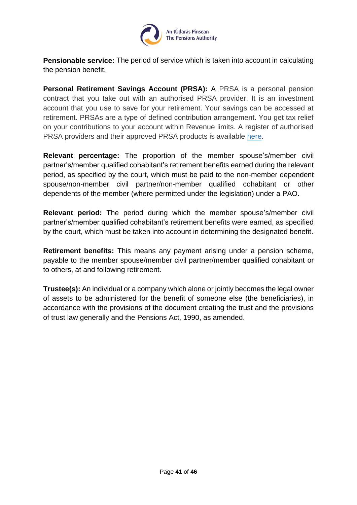

**Pensionable service:** The period of service which is taken into account in calculating the pension benefit.

**Personal Retirement Savings Account (PRSA):** A PRSA is a personal pension contract that you take out with an authorised PRSA provider. It is an investment account that you use to save for your retirement. Your savings can be accessed at retirement. PRSAs are a type of defined contribution arrangement. You get tax relief on your contributions to your account within Revenue limits. A register of authorised PRSA providers and their approved PRSA products is available [here.](https://www.pensionsauthority.ie/en/prsa_providers/prsas/)

**Relevant percentage:** The proportion of the member spouse's/member civil partner's/member qualified cohabitant's retirement benefits earned during the relevant period, as specified by the court, which must be paid to the non-member dependent spouse/non-member civil partner/non-member qualified cohabitant or other dependents of the member (where permitted under the legislation) under a PAO.

**Relevant period:** The period during which the member spouse's/member civil partner's/member qualified cohabitant's retirement benefits were earned, as specified by the court, which must be taken into account in determining the designated benefit.

**Retirement benefits:** This means any payment arising under a pension scheme, payable to the member spouse/member civil partner/member qualified cohabitant or to others, at and following retirement.

**Trustee(s):** An individual or a company which alone or jointly becomes the legal owner of assets to be administered for the benefit of someone else (the beneficiaries), in accordance with the provisions of the document creating the trust and the provisions of trust law generally and the Pensions Act, 1990, as amended.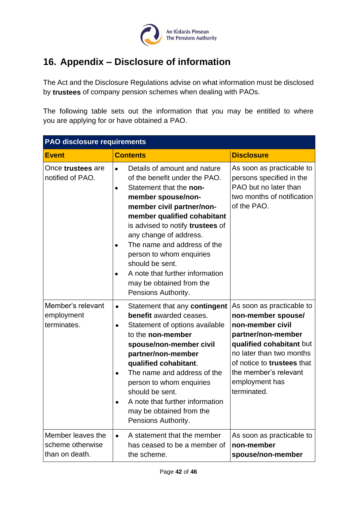

# <span id="page-41-0"></span>**16. Appendix – Disclosure of information**

The Act and the Disclosure Regulations advise on what information must be disclosed by **trustees** of company pension schemes when dealing with PAOs.

The following table sets out the information that you may be entitled to where you are applying for or have obtained a PAO.

| <b>PAO</b> disclosure requirements                      |                                                                                                                                                                                                                                                                                                                                                                                                                           |                                                                                                                                                                                                                                           |  |
|---------------------------------------------------------|---------------------------------------------------------------------------------------------------------------------------------------------------------------------------------------------------------------------------------------------------------------------------------------------------------------------------------------------------------------------------------------------------------------------------|-------------------------------------------------------------------------------------------------------------------------------------------------------------------------------------------------------------------------------------------|--|
| <b>Event</b>                                            | <b>Contents</b>                                                                                                                                                                                                                                                                                                                                                                                                           | <b>Disclosure</b>                                                                                                                                                                                                                         |  |
| Once trustees are<br>notified of PAO.                   | Details of amount and nature<br>$\bullet$<br>of the benefit under the PAO.<br>Statement that the non-<br>member spouse/non-<br>member civil partner/non-<br>member qualified cohabitant<br>is advised to notify trustees of<br>any change of address.<br>The name and address of the<br>person to whom enquiries<br>should be sent.<br>A note that further information<br>may be obtained from the<br>Pensions Authority. | As soon as practicable to<br>persons specified in the<br>PAO but no later than<br>two months of notification<br>of the PAO.                                                                                                               |  |
| Member's relevant<br>employment<br>terminates.          | Statement that any contingent<br>$\bullet$<br>benefit awarded ceases.<br>Statement of options available<br>$\bullet$<br>to the non-member<br>spouse/non-member civil<br>partner/non-member<br>qualified cohabitant.<br>The name and address of the<br>person to whom enquiries<br>should be sent.<br>A note that further information<br>may be obtained from the<br>Pensions Authority.                                   | As soon as practicable to<br>non-member spouse/<br>non-member civil<br>partner/non-member<br>qualified cohabitant but<br>no later than two months<br>of notice to trustees that<br>the member's relevant<br>employment has<br>terminated. |  |
| Member leaves the<br>scheme otherwise<br>than on death. | A statement that the member<br>$\bullet$<br>has ceased to be a member of<br>the scheme.                                                                                                                                                                                                                                                                                                                                   | As soon as practicable to<br>non-member<br>spouse/non-member                                                                                                                                                                              |  |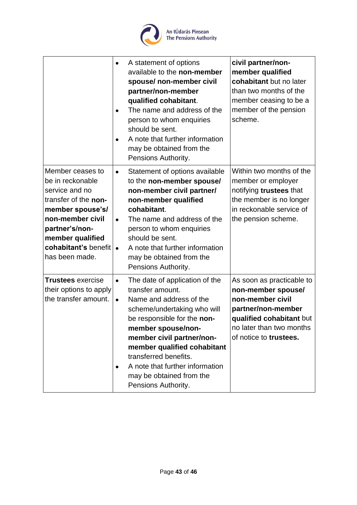

|                                                                                                                                                                                                        | $\bullet$<br>$\bullet$<br>$\bullet$ | A statement of options<br>available to the non-member<br>spouse/ non-member civil<br>partner/non-member<br>qualified cohabitant.<br>The name and address of the<br>person to whom enquiries<br>should be sent.<br>A note that further information<br>may be obtained from the<br>Pensions Authority.                                         | civil partner/non-<br>member qualified<br>cohabitant but no later<br>than two months of the<br>member ceasing to be a<br>member of the pension<br>scheme.                   |
|--------------------------------------------------------------------------------------------------------------------------------------------------------------------------------------------------------|-------------------------------------|----------------------------------------------------------------------------------------------------------------------------------------------------------------------------------------------------------------------------------------------------------------------------------------------------------------------------------------------|-----------------------------------------------------------------------------------------------------------------------------------------------------------------------------|
| Member ceases to<br>be in reckonable<br>service and no<br>transfer of the non-<br>member spouse's/<br>non-member civil<br>partner's/non-<br>member qualified<br>cohabitant's benefit<br>has been made. | $\bullet$<br>$\bullet$<br>$\bullet$ | Statement of options available<br>to the non-member spouse/<br>non-member civil partner/<br>non-member qualified<br>cohabitant.<br>The name and address of the<br>person to whom enquiries<br>should be sent.<br>A note that further information<br>may be obtained from the<br>Pensions Authority.                                          | Within two months of the<br>member or employer<br>notifying trustees that<br>the member is no longer<br>in reckonable service of<br>the pension scheme.                     |
| <b>Trustees</b> exercise<br>their options to apply<br>the transfer amount.                                                                                                                             | $\bullet$<br>$\bullet$<br>٠         | The date of application of the<br>transfer amount.<br>Name and address of the<br>scheme/undertaking who will<br>be responsible for the non-<br>member spouse/non-<br>member civil partner/non-<br>member qualified cohabitant<br>transferred benefits.<br>A note that further information<br>may be obtained from the<br>Pensions Authority. | As soon as practicable to<br>non-member spouse/<br>non-member civil<br>partner/non-member<br>qualified cohabitant but<br>no later than two months<br>of notice to trustees. |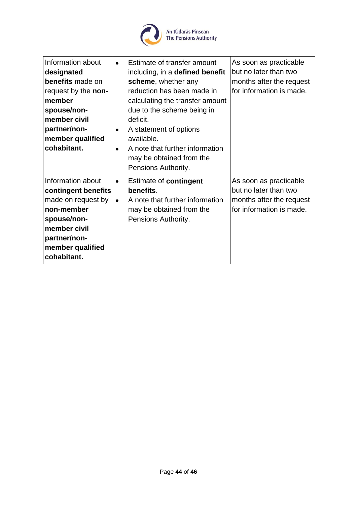

| Information about<br>designated<br>benefits made on<br>request by the non-<br>member<br>spouse/non-<br>member civil<br>partner/non-<br>member qualified<br>cohabitant. | Estimate of transfer amount<br>$\bullet$<br>including, in a defined benefit<br>scheme, whether any<br>reduction has been made in<br>calculating the transfer amount<br>due to the scheme being in<br>deficit.<br>A statement of options<br>$\bullet$<br>available.<br>A note that further information<br>$\bullet$<br>may be obtained from the | As soon as practicable<br>but no later than two<br>months after the request<br>for information is made. |
|------------------------------------------------------------------------------------------------------------------------------------------------------------------------|------------------------------------------------------------------------------------------------------------------------------------------------------------------------------------------------------------------------------------------------------------------------------------------------------------------------------------------------|---------------------------------------------------------------------------------------------------------|
| Information about<br>contingent benefits<br>made on request by<br>non-member<br>spouse/non-<br>member civil<br>partner/non-<br>member qualified<br>cohabitant.         | Pensions Authority.<br>Estimate of contingent<br>$\bullet$<br>benefits.<br>A note that further information<br>$\bullet$<br>may be obtained from the<br>Pensions Authority.                                                                                                                                                                     | As soon as practicable<br>but no later than two<br>months after the request<br>for information is made. |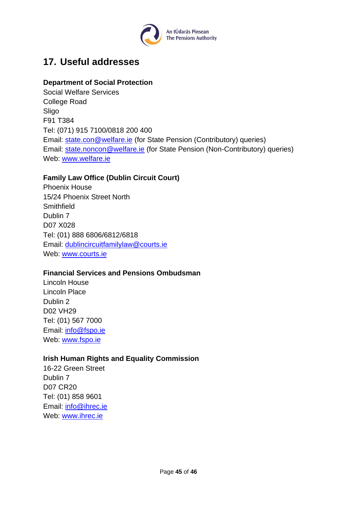

# <span id="page-44-0"></span>**17. Useful addresses**

#### **Department of Social Protection**

Social Welfare Services College Road Sligo F91 T384 Tel: (071) 915 7100/0818 200 400 Email: [state.con@welfare.ie](mailto:state.con@welfare.ie) (for State Pension (Contributory) queries) Email: [state.noncon@welfare.ie](mailto:state.noncon@welfare.ie) (for State Pension (Non-Contributory) queries) Web: [www.welfare.ie](http://www.welfare.ie/)

#### **Family Law Office (Dublin Circuit Court)**

Phoenix House 15/24 Phoenix Street North **Smithfield** Dublin 7 D07 X028 Tel: (01) 888 6806/6812/6818 Email: [dublincircuitfamilylaw@courts.ie](mailto:dublincircuitfamilylaw@courts.ie) Web: [www.courts.ie](http://www.courts.ie/)

#### **Financial Services and Pensions Ombudsman**

Lincoln House Lincoln Place Dublin 2 D02 VH29 Tel: (01) 567 7000 Email: [info@fspo.ie](mailto:info@fspo.ie) Web: [www.fspo.ie](http://www.financialombudsman.ie/)

#### **Irish Human Rights and Equality Commission**

16-22 Green Street Dublin 7 D07 CR20 Tel: (01) 858 9601 Email: [info@ihrec.ie](mailto:info@ihrec.ie) Web: [www.ihrec.ie](http://www.ihrec.ie/)